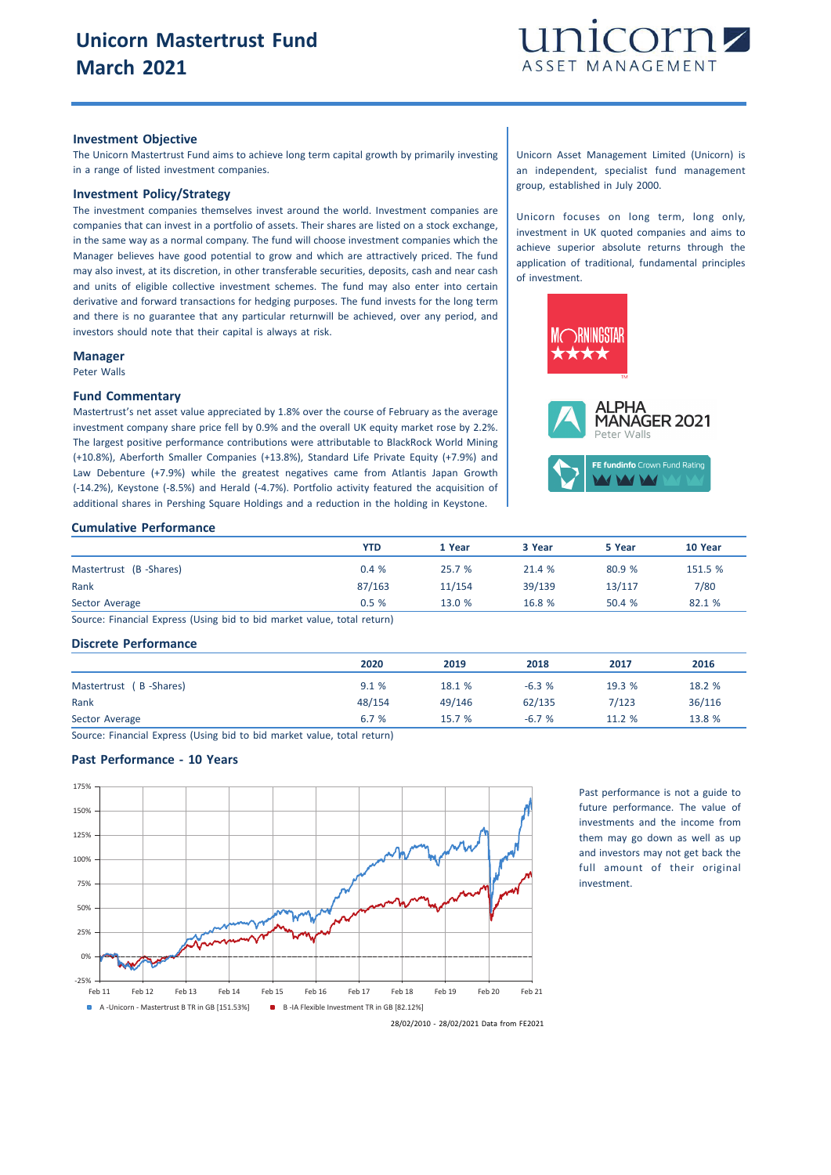

#### **Investment Objective**

The Unicorn Mastertrust Fund aims to achieve long term capital growth by primarily investing in a range of listed investment companies.

# **Investment Policy/Strategy**

The investment companies themselves invest around the world. Investment companies are companies that can invest in a portfolio of assets. Their shares are listed on a stock exchange, in the same way as a normal company. The fund will choose investment companies which the Manager believes have good potential to grow and which are attractively priced. The fund may also invest, at its discretion, in other transferable securities, deposits, cash and near cash and units of eligible collective investment schemes. The fund may also enter into certain derivative and forward transactions for hedging purposes. The fund invests for the long term and there is no guarantee that any particular returnwill be achieved, over any period, and investors should note that their capital is always at risk.

#### **Manager**

Peter Walls

#### **Fund Commentary**

Mastertrust's net asset value appreciated by 1.8% over the course of February as the average investment company share price fell by 0.9% and the overall UK equity market rose by 2.2%. The largest positive performance contributions were attributable to BlackRock World Mining (+10.8%), Aberforth Smaller Companies (+13.8%), Standard Life Private Equity (+7.9%) and Law Debenture (+7.9%) while the greatest negatives came from Atlantis Japan Growth (-14.2%), Keystone (-8.5%) and Herald (-4.7%). Portfolio activity featured the acquisition of additional shares in Pershing Square Holdings and a reduction in the holding in Keystone.

## Unicorn Asset Management Limited (Unicorn) is an independent, specialist fund management group, established in July 2000.

Unicorn focuses on long term, long only, investment in UK quoted companies and aims to achieve superior absolute returns through the application of traditional, fundamental principles of investment.



#### **Cumulative Performance**

| <b>YTD</b> | 1 Year | 3 Year | 5 Year | 10 Year |
|------------|--------|--------|--------|---------|
| 0.4%       | 25.7 % | 21.4 % | 80.9 % | 151.5 % |
| 87/163     | 11/154 | 39/139 | 13/117 | 7/80    |
| 0.5%       | 13.0 % | 16.8 % | 50.4 % | 82.1 %  |
|            |        |        |        |         |

Source: Financial Express (Using bid to bid market value, total return)

## **Discrete Performance**

|                        | 2020   | 2019   | 2018    | 2017   | 2016   |
|------------------------|--------|--------|---------|--------|--------|
| Mastertrust (B-Shares) | 9.1%   | 18.1 % | $-6.3%$ | 19.3 % | 18.2 % |
| Rank                   | 48/154 | 49/146 | 62/135  | 7/123  | 36/116 |
| Sector Average         | 6.7%   | 15.7 % | $-6.7%$ | 11.2 % | 13.8 % |

Source: Financial Express (Using bid to bid market value, total return)

## **Past Performance - 10 Years**



Past performance is not a guide to future performance. The value of investments and the income from them may go down as well as up and investors may not get back the full amount of their original investment.

28/02/2010 - 28/02/2021 Data from FE2021